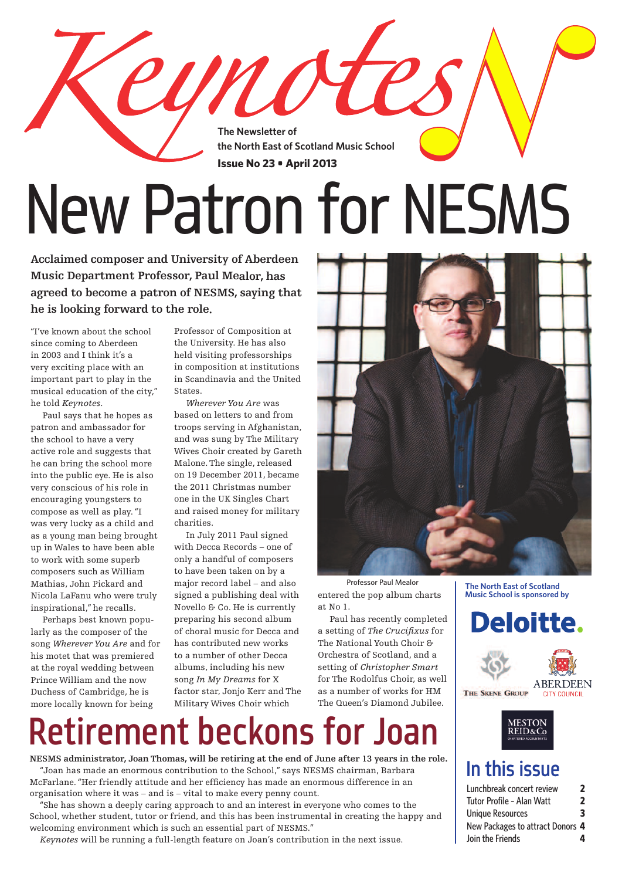**The Newsletter of the North East of Scotland Music School Issue No 23 • April 2013**

# New Patron for NESMS

**Acclaimed composer and University of Aberdeen Music Department Professor, Paul Mealor, has agreed to become <sup>a</sup> patron of NESMS, saying that he is looking forward to the role.**

"I've known about the school since coming to Aberdeen in 2003 and I think it's a very exciting place with an important part to play in the musical education of the city," he told *Keynotes*.

 Paul says that he hopes as patron and ambassador for the school to have a very active role and suggests that he can bring the school more into the public eye. He is also very conscious of his role in encouraging youngsters to compose as well as play."I was very lucky as a child and as a young man being brought up in Wales to have been able to work with some superb composers such as William Mathias, John Pickard and Nicola LaFanu who were truly inspirational," he recalls.

 Perhaps best known popularly as the composer of the song *Wherever You Are* and for his motet that was premiered at the royal wedding between Prince William and the now Duchess of Cambridge, he is more locally known for being

Professor of Composition at the University. He has also held visiting professorships in composition at institutions in Scandinavia and the United States.

UN O

 *Wherever You Are* was based on letters to and from troops serving in Afghanistan, and was sung by The Military Wives Choir created by Gareth Malone.The single, released on 19 December 2011, became the 2011 Christmas number one in the UK Singles Chart and raised money for military charities.

 In July 2011 Paul signed with Decca Records – one of only a handful of composers to have been taken on by a major record label – and also signed a publishing deal with Novello & Co. He is currently preparing his second album of choral music for Decca and has contributed new works to a number of other Decca albums, including his new song *In My Dreams* for X factor star, Jonjo Kerr and The Military Wives Choir which



entered the pop album charts at No 1.

 Paul has recently completed a setting of *The Crucifixus* for The National Youth Choir & Orchestra of Scotland, and a setting of *Christopher Smart* for The Rodolfus Choir, as well as a number of works for HM The Queen's Diamond Jubilee.

## Retirement beckons for Joan

**NESMS administrator, Joan Thomas, will be retiring at the end of June after 13 years in the role.** "Joan has made an enormous contribution to the School," says NESMS chairman, Barbara McFarlane."Her friendly attitude and her efficiency has made an enormous difference in an organisation where it was – and is – vital to make every penny count.

 "She has shown a deeply caring approach to and an interest in everyone who comes to the School, whether student, tutor or friend, and this has been instrumental in creating the happy and welcoming environment which is such an essential part of NESMS."

 *Keynotes* will be running a full-length feature on Joan's contribution in the next issue.

**The North East of Scotland Music School is sponsored by**







## In this issue

| Lunchbreak concert review        | 7 |
|----------------------------------|---|
| Tutor Profile - Alan Watt        | 2 |
| <b>Unique Resources</b>          | 3 |
| New Packages to attract Donors 4 |   |
| Join the Friends                 | 4 |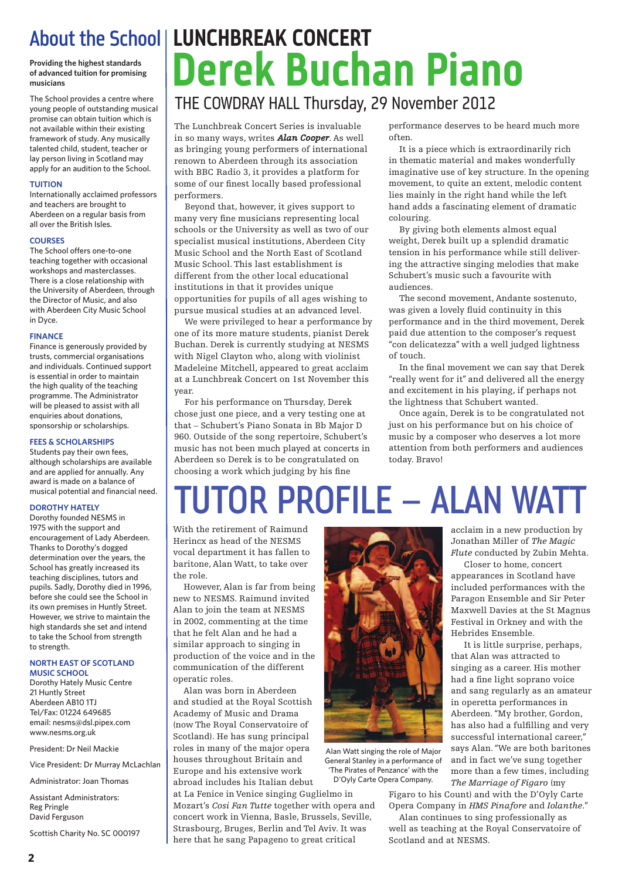## **of advanced tuition for promising musicians**

The School provides a centre where young people of outstanding musical promise can obtain tuition which is not available within their existing framework of study. Any musically talented child, student, teacher or lay person living in Scotland may apply for an audition to the School.

#### **TUITION**

Internationally acclaimed professors and teachers are brought to Aberdeen on a regular basis from all over the British Isles.

#### **COURSES**

The School offers one-to-one teaching together with occasional workshops and masterclasses. There is a close relationship with the University of Aberdeen, through the Director of Music, and also with Aberdeen City Music School in Dyce.

#### **FINANCE**

Finance is generously provided by trusts, commercial organisations and individuals. Continued support is essential in order to maintain the high quality of the teaching programme. The Administrator will be pleased to assist with all enquiries about donations, sponsorship or scholarships.

### **FEES & SCHOLARSHIPS**

Students pay their own fees, although scholarships are available and are applied for annually. Any award is made on a balance of musical potential and financial need.

## **DOROTHY HATELY**

Dorothy founded NESMS in 1975 with the support and encouragement of Lady Aberdeen. Thanks to Dorothy's dogged determination over the years, the School has greatly increased its teaching disciplines, tutors and pupils. Sadly, Dorothy died in 1996, before she could see the School in its own premises in Huntly Street. However, we strive to maintain the high standards she set and intend to take the School from strength to strength.

#### **NORTH EAST OF SCOTLAND MUSIC SCHOOL**

Dorothy Hately Music Centre 21 Huntly Street Aberdeen AB10 1TJ Tel/Fax: 01224 649685 email: nesms@dsl.pipex.com www.nesms.org.uk

President: Dr Neil Mackie

Vice President: Dr Murray McLachlan

Administrator: Joan Thomas

Assistant Administrators: Reg Pringle David Ferguson

Scottish Charity No. SC 000197

## ADOUT THE SCHOOL LUNCHBREAR CUNCERT<br>Providing the highest standards<br>musicians About the School **LUNCHBREAK CONCERT**

## THE COWDRAY HALL Thursday, 29 November 2012

The Lunchbreak Concert Series is invaluable in so many ways, writes *Alan Cooper*. As well as bringing young performers of international renown to Aberdeen through its association with BBC Radio 3, it provides a platform for some of our finest locally based professional performers.

 Beyond that, however, it gives support to many very fine musicians representing local schools or the University as well as two of our specialist musical institutions, Aberdeen City Music School and the North East of Scotland Music School.This last establishment is different from the other local educational institutions in that it provides unique opportunities for pupils of all ages wishing to pursue musical studies at an advanced level.

 We were privileged to hear a performance by one of its more mature students, pianist Derek Buchan. Derek is currently studying at NESMS with Nigel Clayton who, along with violinist Madeleine Mitchell, appeared to great acclaim at a Lunchbreak Concert on 1st November this year.

 For his performance on Thursday, Derek chose just one piece, and a very testing one at that – Schubert's Piano Sonata in Bb Major D 960. Outside of the song repertoire, Schubert's music has not been much played at concerts in Aberdeen so Derek is to be congratulated on choosing a work which judging by his fine

performance deserves to be heard much more often.

 It is a piece which is extraordinarily rich in thematic material and makes wonderfully imaginative use of key structure. In the opening movement, to quite an extent, melodic content lies mainly in the right hand while the left hand adds a fascinating element of dramatic colouring.

 By giving both elements almost equal weight, Derek built up a splendid dramatic tension in his performance while still delivering the attractive singing melodies that make Schubert's music such a favourite with audiences.

 The second movement, Andante sostenuto, was given a lovely fluid continuity in this performance and in the third movement, Derek paid due attention to the composer's request "con delicatezza" with a well judged lightness of touch.

 In the final movement we can say that Derek "really went for it" and delivered all the energy and excitement in his playing, if perhaps not the lightness that Schubert wanted.

 Once again, Derek is to be congratulated not just on his performance but on his choice of music by a composer who deserves a lot more attention from both performers and audiences today. Bravo!

## TUTOR PROFILE – ALAN WATT

With the retirement of Raimund Herincx as head of the NESMS vocal department it has fallen to baritone, Alan Watt, to take over the role.

 However, Alan is far from being new to NESMS. Raimund invited Alan to join the team at NESMS in 2002, commenting at the time that he felt Alan and he had a similar approach to singing in production of the voice and in the communication of the different operatic roles.

 Alan was born in Aberdeen and studied at the Royal Scottish Academy of Music and Drama (now The Royal Conservatoire of Scotland). He has sung principal roles in many of the major opera houses throughout Britain and Europe and his extensive work abroad includes his Italian debut

at La Fenice in Venice singing Guglielmo in Mozart's *Cosi Fan Tutte* together with opera and concert work in Vienna, Basle, Brussels, Seville, Strasbourg, Bruges, Berlin and Tel Aviv. It was here that he sang Papageno to great critical



Alan Watt singing the role of Major General Stanley in a performance of 'The Pirates of Penzance' with the D'Oyly Carte Opera Company.

acclaim in a new production by Jonathan Miller of *The Magic Flute* conducted by Zubin Mehta.

Closer to home, concert appearances in Scotland have included performances with the Paragon Ensemble and Sir Peter Maxwell Davies at the St Magnus Festival in Orkney and with the Hebrides Ensemble.

It is little surprise, perhaps, that Alan was attracted to singing as a career. His mother had a fine light soprano voice and sang regularly as an amateur in operetta performances in Aberdeen."My brother, Gordon, has also had a fulfilling and very successful international career," says Alan."We are both baritones and in fact we've sung together more than a few times, including *The Marriage of Figaro* (my

Figaro to his Count) and with the D'Oyly Carte Opera Company in *HMS Pinafore* and *Iolanthe*."

 Alan continues to sing professionally as well as teaching at the Royal Conservatoire of Scotland and at NESMS.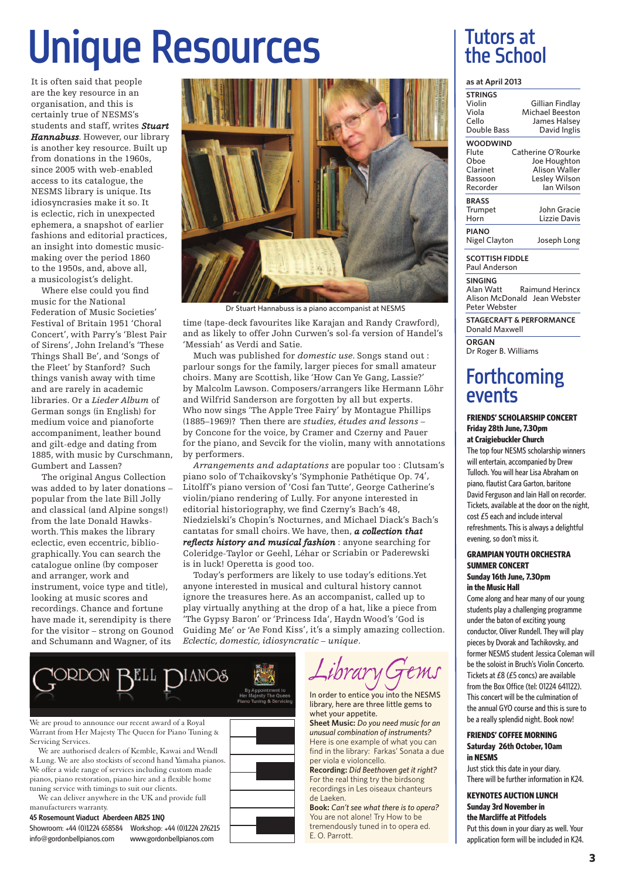## Unique Resources

It is often said that people are the key resource in an organisation, and this is certainly true of NESMS's students and staff, writes *Stuart Hannabuss*. However, our library is another key resource. Built up from donations in the 1960s, since 2005 with web-enabled access to its catalogue, the NESMS library is unique. Its idiosyncrasies make it so. It is eclectic, rich in unexpected ephemera, <sup>a</sup> snapshot of earlier fashions and editorial practices, an insight into domestic musicmaking over the period 1860 to the 1950s, and, above all, <sup>a</sup> musicologist's delight.

Where else could you find music for the National Federation of Music Societies' Festival of Britain 1951 'Choral Concert', with Parry's 'Blest Pair of Sirens', John Ireland's 'These Things Shall Be', and 'Songs of the Fleet' by Stanford? Such things vanish away with time and are rarely in academic libraries. Or <sup>a</sup> *Lieder Album* of German songs (in English) for medium voice and pianoforte accompaniment, leather bound and gilt-edge and dating from 1885, with music by Curschmann, Gumbert and Lassen?

The original Angus Collection was added to by later donations – popular from the late Bill Jolly and classical (and Alpine songs!) from the late Donald Hawksworth.This makes the library eclectic, even eccentric, bibliographically.You can search the catalogue online (by composer and arranger, work and instrument, voice type and title), looking at music scores and recordings. Chance and fortune have made it, serendipity is there for the visitor – strong on Gounod and Schumann and Wagner, of its



Dr Stuart Hannabuss is a piano accompanist at NESMS

time (tape-deck favourites like Karajan and Randy Crawford), and as likely to offer John Curwen's sol-fa version of Handel's 'Messiah' as Verdi and Satie.

Much was published for *domestic use*. Songs stand out : parlour songs for the family, larger pieces for small amateur choirs. Many are Scottish, like 'How Can Ye Gang, Lassie?' by Malcolm Lawson. Composers/arrangers like Hermann Löhr and Wilfrid Sanderson are forgotten by all but experts. Who now sings 'The Apple Tree Fairy' by Montague Phillips (1885–1969)? Then there are *studies, études and lessons* – by Concone for the voice, by Cramer and Czerny and Pauer for the piano, and Sevcik for the violin, many with annotations by performers.

*Arrangements and adaptations* are popular too : Clutsam's piano solo of Tchaikovsky's 'Symphonie Pathétique Op. <sup>74</sup>', Litolff's piano version of 'Cosi fan Tutte', George Catherine's violin/piano rendering of Lully. For anyone interested in editorial historiography, we find Czerny's Bach's 48, Niedzielski's Chopin's Nocturnes, and Michael Diack's Bach's cantatas for small choirs. We have, then, *a collection that reflects history and musical fashion* : anyone searching for Coleridge-Taylor or Geehl, Léhar or Scriabin or Paderewski is in luck! Operetta is good too.

Today's performers are likely to use today's editions.Yet anyone interested in musical and cultural history cannot ignore the treasures here. As an accompanist, called up to play virtually anything at the drop of <sup>a</sup> hat, like <sup>a</sup> piece from 'The Gypsy Baron' or 'Princess Ida', Haydn Wood's 'God is Guiding Me' or 'Ae Fond Kiss', it's <sup>a</sup> simply amazing collection. *Eclectic, domestic, idiosyncratic – unique*.



We are proud to announce our recent award of a Royal Warrant from Her Majesty The Queen for Piano Tuning & Servicing Services.

We are authorised dealers of Kemble, Kawai and Wendl & Lung. We are also stockists of second hand Yamaha pianos. We offer a wide range of services including custom made pianos, piano restoration, piano hire and a flexible home tuning service with timings to suit our clients.

We can deliver anywhere in the UK and provide full manufacturers warranty.

## 45 Rosemount Viaduct Aberdeen AB25 1NQ

Showroom: +44 (0)1224 658584 Workshop: +44 (0)1224 276215 info@gordonbellpianos.com www.gordonbellpianos.com

hrary G

In order to entice you into the NESMS library, here are three little gems to whet your appetite.

**Sheet Music:** *Do you need music for an unusual combination of instruments?* Here is one example of what you can find in the library: Farkas' Sonata a due per viola e violoncello.

**Recording:** *Did Beethoven get it right?* For the real thing try the birdsong recordings in Les oiseaux chanteurs de Laeken.

**Book:** *Can't see what there is to opera?* You are not alone! Try How to be tremendously tuned in to opera ed. E. O. Parrott.

## Tutors at the School

### **as at April 2013**

| <b>STRINGS</b>  |                      |
|-----------------|----------------------|
| Violin          | Gillian Findlay      |
| Viola           | Michael Beeston      |
| Cello           | James Halsey         |
| Double Bass     | David Inglis         |
| <b>WOODWIND</b> |                      |
| Flute           | Catherine O'Rourke   |
| Oboe            | Joe Houghton         |
| Clarinet        | <b>Alison Waller</b> |
| Bassoon         | Lesley Wilson        |
| Recorder        | lan Wilson           |
| <b>BRASS</b>    |                      |
| Trumpet         | John Gracie          |
| Horn            | Lizzie Davis         |
| <b>PIANO</b>    |                      |
| Nigel Clayton   | Joseph Long          |
|                 |                      |

**SCOTTISH FIDDLE** Paul Anderson

**SINGING**<br>Alan Watt **Raimund Herincx** Alison McDonald Jean Webster Peter Webster

**STAGECRAFT & PERFORMANCE** Donald Maxwell

**ORGAN** Dr Roger B. Williams

## **Forthcoming** events

## **FRIENDS' SCHOLARSHIP CONCERT Friday 28th June, 7.30pm at Craigiebuckler Church**

The top four NESMS scholarship winners will entertain, accompanied by Drew Tulloch. You will hear Lisa Abraham on piano, flautist Cara Garton, baritone David Ferguson and Iain Hall on recorder. Tickets, available at the door on the night,  $cost$   $E5$  each and include interval refreshments. This is always a delightful evening, so don't miss it.

### **GRAMPIAN YOUTH ORCHESTRA SUMMER CONCERT Sunday 16th June, 7.30pm in the Music Hall**

Come along and hear many of our young students play a challenging programme under the baton of exciting young conductor, Oliver Rundell. They will play pieces by Dvorak and Tachikovsky, and former NESMS student Jessica Coleman will bethesoloist in Bruch's Violin Concerto. Tickets at  $£8$  ( $£5$  concs) are available from the Box Office (tel: 01224 641122). This concert will be the culmination of the annual GVO course and this is sure to be a really splendid night. Book now!

### **FRIENDS' COFFEE MORNING Saturday 26th October, 10am in NESMS**

Just stick this date in your diary. There will be further information in K24.

## **KEYNOTES AUCTION LUNCH Sunday 3rd November in the Marcliffe at Pitfodels**

Put this down in your diary as well. Your application form will be included in K24.